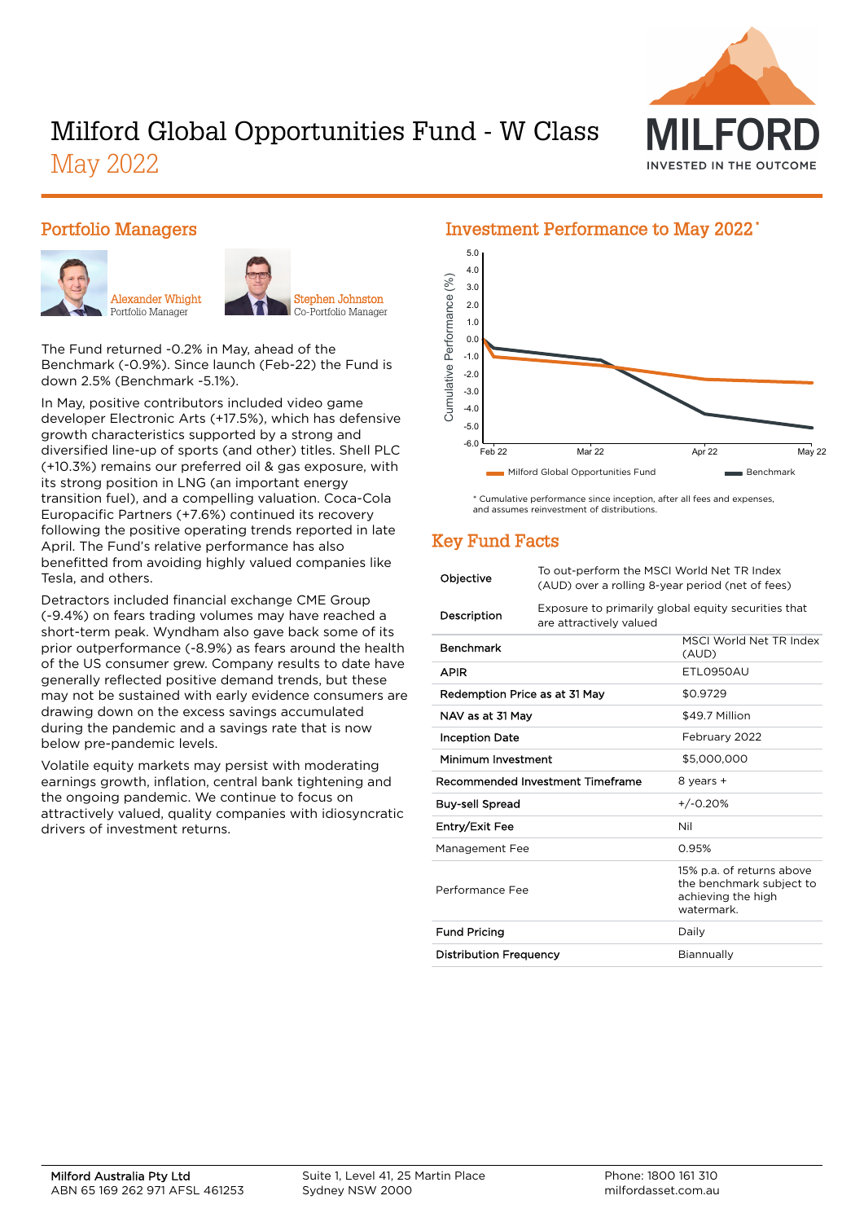

# Milford Global Opportunities Fund - W Class May 2022

#### Portfolio Managers





The Fund returned -0.2% in May, ahead of the Benchmark (-0.9%). Since launch (Feb-22) the Fund is down 2.5% (Benchmark -5.1%).

In May, positive contributors included video game developer Electronic Arts (+17.5%), which has defensive growth characteristics supported by a strong and diversified line-up of sports (and other) titles. Shell PLC (+10.3%) remains our preferred oil & gas exposure, with its strong position in LNG (an important energy transition fuel), and a compelling valuation. Coca-Cola Europacific Partners (+7.6%) continued its recovery following the positive operating trends reported in late April. The Fund's relative performance has also benefitted from avoiding highly valued companies like Tesla, and others.

Detractors included financial exchange CME Group (-9.4%) on fears trading volumes may have reached a short-term peak. Wyndham also gave back some of its prior outperformance (-8.9%) as fears around the health of the US consumer grew. Company results to date have generally reflected positive demand trends, but these may not be sustained with early evidence consumers are drawing down on the excess savings accumulated during the pandemic and a savings rate that is now below pre-pandemic levels.

Volatile equity markets may persist with moderating earnings growth, inflation, central bank tightening and the ongoing pandemic. We continue to focus on attractively valued, quality companies with idiosyncratic drivers of investment returns.

#### 5.0 4.0  $(%)$ Cumulative Performance (%) 3.0 Cumulative Performance 2.0 1.0 0.0 -1.0 -2.0 -3.0 -4.0 -5.0 -6.0 Feb 22 Mar 22 Apr 22 May 22 Milford Global Opportunities Fund Benchmark

\* Cumulative performance since inception, after all fees and expenses, and assumes reinvestment of distributions.

## Key Fund Facts

| Objective                     | To out-perform the MSCI World Net TR Index<br>(AUD) over a rolling 8-year period (net of fees) |                                                                                          |  |  |
|-------------------------------|------------------------------------------------------------------------------------------------|------------------------------------------------------------------------------------------|--|--|
| Description                   | Exposure to primarily global equity securities that<br>are attractively valued                 |                                                                                          |  |  |
| Benchmark                     |                                                                                                | MSCI World Net TR Index<br>(AUD)                                                         |  |  |
| <b>APIR</b>                   |                                                                                                | ETL0950AU                                                                                |  |  |
| Redemption Price as at 31 May |                                                                                                | \$0.9729                                                                                 |  |  |
| NAV as at 31 May              |                                                                                                | \$49.7 Million                                                                           |  |  |
| <b>Inception Date</b>         |                                                                                                | February 2022                                                                            |  |  |
| Minimum Investment            |                                                                                                | \$5,000,000                                                                              |  |  |
|                               | Recommended Investment Timeframe                                                               | 8 years +                                                                                |  |  |
| <b>Buy-sell Spread</b>        |                                                                                                | $+/-0.20%$                                                                               |  |  |
| Entry/Exit Fee                |                                                                                                | Nil                                                                                      |  |  |
| Management Fee                |                                                                                                | 0.95%                                                                                    |  |  |
| Performance Fee               |                                                                                                | 15% p.a. of returns above<br>the benchmark subject to<br>achieving the high<br>watermark |  |  |
| <b>Fund Pricing</b>           |                                                                                                | Daily                                                                                    |  |  |
| <b>Distribution Frequency</b> |                                                                                                | Biannually                                                                               |  |  |
|                               |                                                                                                |                                                                                          |  |  |

#### Investment Performance to May 2022 \*